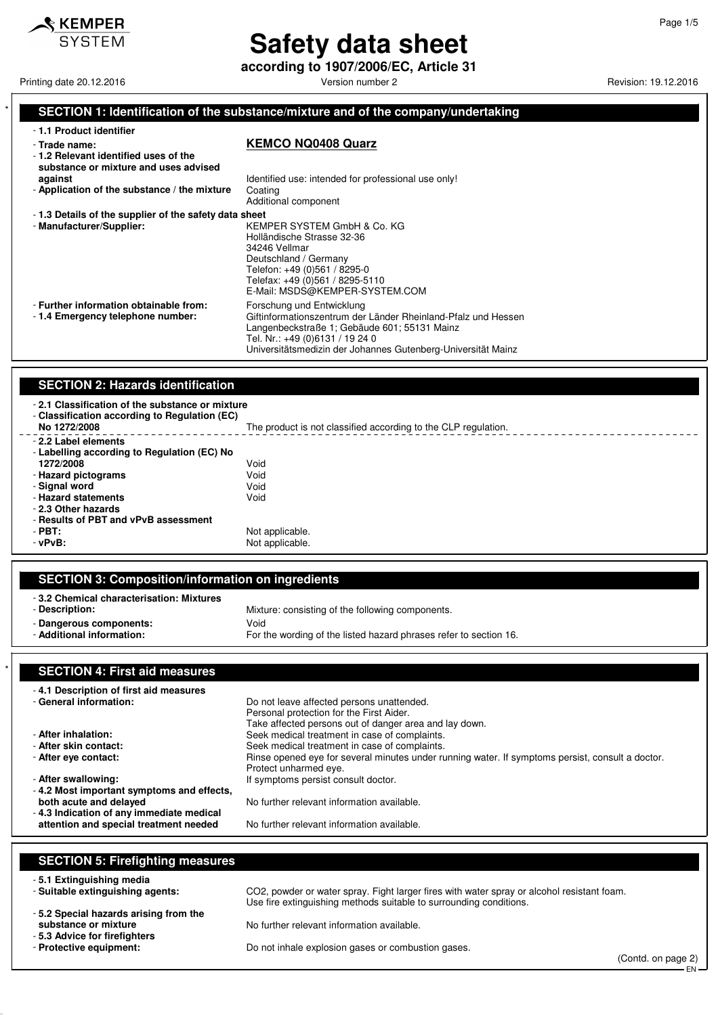

# **Safety data sheet**

**according to 1907/2006/EC, Article 31**

Printing date 20.12.2016 **Version number 2 Version number 2** Revision: 19.12.2016

### SECTION 1: Identification of the substance/mixture and of the company/undertaking

| - 1.1 Product identifier<br>- Trade name:<br>-1.2 Relevant identified uses of the<br>substance or mixture and uses advised | <b>KEMCO NQ0408 Quarz</b>                                                                                                                                                                                                                     |
|----------------------------------------------------------------------------------------------------------------------------|-----------------------------------------------------------------------------------------------------------------------------------------------------------------------------------------------------------------------------------------------|
| against<br>- Application of the substance / the mixture                                                                    | Identified use: intended for professional use only!<br>Coating<br>Additional component                                                                                                                                                        |
| -1.3 Details of the supplier of the safety data sheet<br>- Manufacturer/Supplier:                                          | KEMPER SYSTEM GmbH & Co. KG<br>Holländische Strasse 32-36<br>34246 Vellmar<br>Deutschland / Germany<br>Telefon: +49 (0)561 / 8295-0<br>Telefax: +49 (0)561 / 8295-5110<br>E-Mail: MSDS@KEMPER-SYSTEM.COM                                      |
| - Further information obtainable from:<br>-1.4 Emergency telephone number:                                                 | Forschung und Entwicklung<br>Giftinformationszentrum der Länder Rheinland-Pfalz und Hessen<br>Langenbeckstraße 1; Gebäude 601; 55131 Mainz<br>Tel. Nr.: +49 (0)6131 / 19 24 0<br>Universitätsmedizin der Johannes Gutenberg-Universität Mainz |

### **SECTION 2: Hazards identification**

| -2.1 Classification of the substance or mixture<br>- Classification according to Regulation (EC)<br>No 1272/2008 | The product is not classified according to the CLP regulation. |
|------------------------------------------------------------------------------------------------------------------|----------------------------------------------------------------|
| - 2.2 Label elements<br>- Labelling according to Regulation (EC) No                                              |                                                                |
| 1272/2008                                                                                                        | Void                                                           |
| - Hazard pictograms                                                                                              | Void                                                           |
| - Signal word                                                                                                    | Void                                                           |
| - Hazard statements                                                                                              | Void                                                           |
| - 2.3 Other hazards                                                                                              |                                                                |
| - Results of PBT and vPvB assessment                                                                             |                                                                |
| $-$ PBT:                                                                                                         | Not applicable.                                                |
| $-vPvB$ :                                                                                                        | Not applicable.                                                |
|                                                                                                                  |                                                                |

### **SECTION 3: Composition/information on ingredients**

| -3.2 Chemical characterisation: Mixtures |                                                                   |
|------------------------------------------|-------------------------------------------------------------------|
| - Description:                           | Mixture: consisting of the following components.                  |
| Void<br>- Dangerous components:          |                                                                   |
| - Additional information:                | For the wording of the listed hazard phrases refer to section 16. |

### **SECTION 4: First aid measures**

| -4.1 Description of first aid measures    |                                                                                                  |
|-------------------------------------------|--------------------------------------------------------------------------------------------------|
| - General information:                    | Do not leave affected persons unattended.                                                        |
|                                           | Personal protection for the First Aider.                                                         |
|                                           | Take affected persons out of danger area and lay down.                                           |
| - After inhalation:                       | Seek medical treatment in case of complaints.                                                    |
| - After skin contact:                     | Seek medical treatment in case of complaints.                                                    |
| - After eye contact:                      | Rinse opened eve for several minutes under running water. If symptoms persist, consult a doctor. |
|                                           | Protect unharmed eye.                                                                            |
| - After swallowing:                       | If symptoms persist consult doctor.                                                              |
| -4.2 Most important symptoms and effects. |                                                                                                  |
| both acute and delayed                    | No further relevant information available.                                                       |
| -4.3 Indication of any immediate medical  |                                                                                                  |
| attention and special treatment needed    | No further relevant information available.                                                       |

#### **SECTION 5: Firefighting measures**

- **5.1 Extinguishing media**
- **5.2 Special hazards arising from the**
- 
- **5.3 Advice for firefighters**

CO2, powder or water spray. Fight larger fires with water spray or alcohol resistant foam. Use fire extinguishing methods suitable to surrounding conditions.

No further relevant information available.

Do not inhale explosion gases or combustion gases.

(Contd. on page 2) EN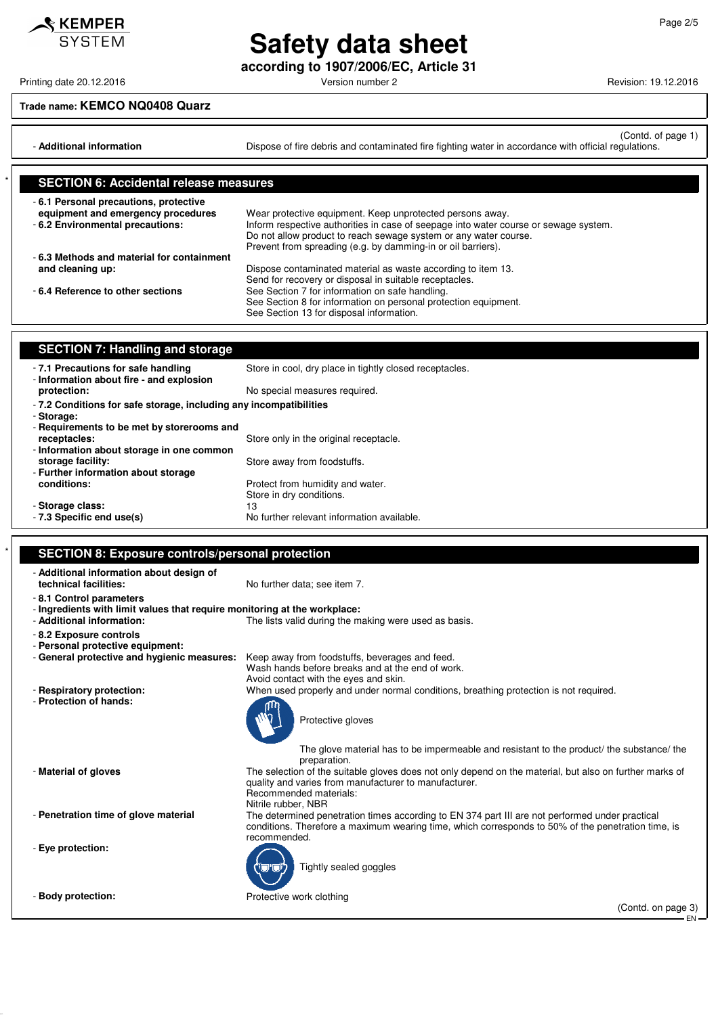**Safety data sheet according to 1907/2006/EC, Article 31**

### **Trade name: KEMCO NQ0408 Quarz**

(Contd. of page 1) - **Additional information Dispose of fire debris and contaminated fire fighting water in accordance with official regulations.** 

| <b>SECTION 6: Accidental release measures</b>                               |                                                                                                                                                                                                                          |
|-----------------------------------------------------------------------------|--------------------------------------------------------------------------------------------------------------------------------------------------------------------------------------------------------------------------|
| -6.1 Personal precautions, protective<br>equipment and emergency procedures | Wear protective equipment. Keep unprotected persons away.                                                                                                                                                                |
| - 6.2 Environmental precautions:                                            | Inform respective authorities in case of seepage into water course or sewage system.<br>Do not allow product to reach sewage system or any water course.<br>Prevent from spreading (e.g. by damming-in or oil barriers). |
| -6.3 Methods and material for containment                                   |                                                                                                                                                                                                                          |
| and cleaning up:                                                            | Dispose contaminated material as waste according to item 13.<br>Send for recovery or disposal in suitable receptacles.                                                                                                   |
| -6.4 Reference to other sections                                            | See Section 7 for information on safe handling.<br>See Section 8 for information on personal protection equipment.                                                                                                       |
|                                                                             | See Section 13 for disposal information.                                                                                                                                                                                 |

| <b>SECTION 7: Handling and storage</b>                                           |                                                         |
|----------------------------------------------------------------------------------|---------------------------------------------------------|
| -7.1 Precautions for safe handling<br>- Information about fire - and explosion   | Store in cool, dry place in tightly closed receptacles. |
| protection:                                                                      | No special measures required.                           |
| - 7.2 Conditions for safe storage, including any incompatibilities<br>- Storage: |                                                         |
| - Requirements to be met by storerooms and                                       |                                                         |
| receptacles:                                                                     | Store only in the original receptacle.                  |
| - Information about storage in one common                                        |                                                         |
| storage facility:                                                                | Store away from foodstuffs.                             |
| - Further information about storage                                              |                                                         |
| conditions:                                                                      | Protect from humidity and water.                        |
|                                                                                  | Store in dry conditions.                                |
| - Storage class:                                                                 | 13                                                      |
| - 7.3 Specific end use(s)                                                        | No further relevant information available.              |

|  | <b>SECTION 8: Exposure controls/personal protection</b> |  |
|--|---------------------------------------------------------|--|
|  |                                                         |  |

| - Additional information about design of<br>technical facilities:                                      | No further data; see item 7.                                                                                                                                                                                          |
|--------------------------------------------------------------------------------------------------------|-----------------------------------------------------------------------------------------------------------------------------------------------------------------------------------------------------------------------|
| -8.1 Control parameters                                                                                |                                                                                                                                                                                                                       |
| - Ingredients with limit values that require monitoring at the workplace:<br>- Additional information: | The lists valid during the making were used as basis.                                                                                                                                                                 |
| - 8.2 Exposure controls<br>- Personal protective equipment:                                            |                                                                                                                                                                                                                       |
| - General protective and hygienic measures:                                                            | Keep away from foodstuffs, beverages and feed.<br>Wash hands before breaks and at the end of work.<br>Avoid contact with the eyes and skin.                                                                           |
| - Respiratory protection:                                                                              | When used properly and under normal conditions, breathing protection is not required.                                                                                                                                 |
| - Protection of hands:                                                                                 | Protective gloves                                                                                                                                                                                                     |
|                                                                                                        | The glove material has to be impermeable and resistant to the product/ the substance/ the<br>preparation.                                                                                                             |
| - Material of gloves                                                                                   | The selection of the suitable gloves does not only depend on the material, but also on further marks of<br>quality and varies from manufacturer to manufacturer.<br>Recommended materials:<br>Nitrile rubber, NBR     |
| - Penetration time of glove material                                                                   | The determined penetration times according to EN 374 part III are not performed under practical<br>conditions. Therefore a maximum wearing time, which corresponds to 50% of the penetration time, is<br>recommended. |
| - Eye protection:                                                                                      | Tightly sealed goggles                                                                                                                                                                                                |
| - Body protection:                                                                                     | Protective work clothing                                                                                                                                                                                              |
|                                                                                                        | (Contd. on page 3)<br>EN-                                                                                                                                                                                             |
|                                                                                                        |                                                                                                                                                                                                                       |



 $\mathcal$ **KEMPER** 

Printing date 20.12.2016 **Principal and COVID-12** Version number 2 Revision: 19.12.2016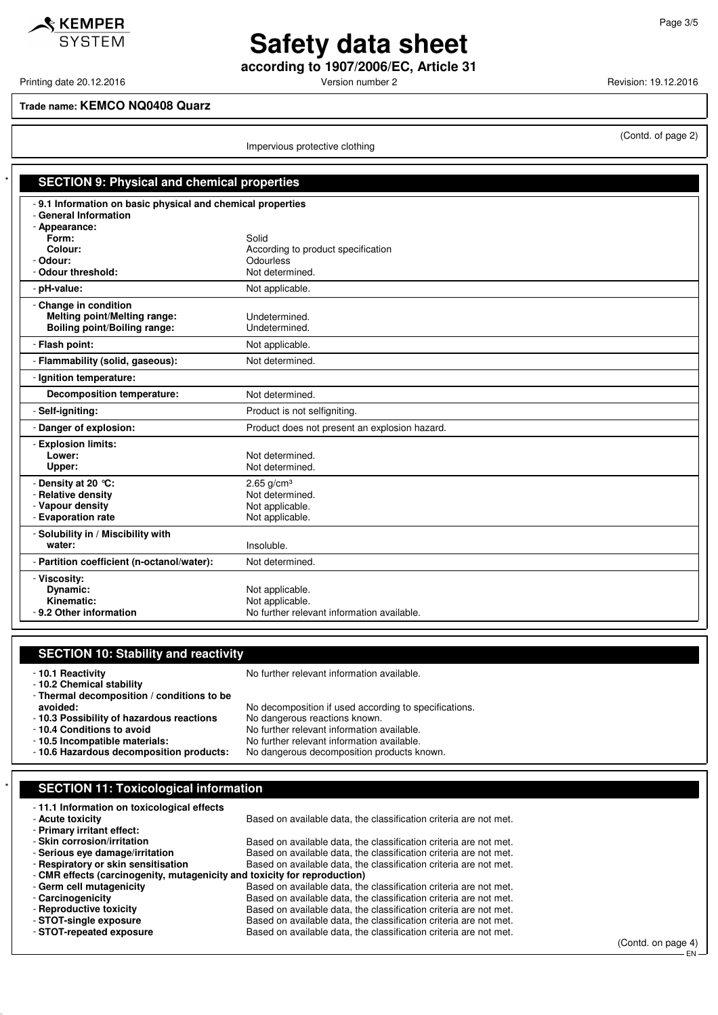$\triangle$  KEMPER **SYSTEM** 

### **Safety data sheet according to 1907/2006/EC, Article 31**

Printing date 20.12.2016 **Version number 2 Version number 2** Revision: 19.12.2016

(Contd. of page 2)

### **Trade name: KEMCO NQ0408 Quarz**

Impervious protective clothing

| <b>SECTION 9: Physical and chemical properties</b>          |                                               |
|-------------------------------------------------------------|-----------------------------------------------|
| - 9.1 Information on basic physical and chemical properties |                                               |
| - General Information                                       |                                               |
| - Appearance:                                               |                                               |
| Form:                                                       | Solid                                         |
| Colour:                                                     | According to product specification            |
| - Odour:                                                    | <b>Odourless</b>                              |
| - Odour threshold:                                          | Not determined.                               |
| - pH-value:                                                 | Not applicable.                               |
| - Change in condition                                       |                                               |
| <b>Melting point/Melting range:</b>                         | Undetermined.                                 |
| Boiling point/Boiling range:                                | Undetermined.                                 |
| - Flash point:                                              | Not applicable.                               |
| - Flammability (solid, gaseous):                            | Not determined.                               |
| - Ignition temperature:                                     |                                               |
| <b>Decomposition temperature:</b>                           | Not determined.                               |
| - Self-igniting:                                            | Product is not selfigniting.                  |
| - Danger of explosion:                                      | Product does not present an explosion hazard. |
| - Explosion limits:                                         |                                               |
| Lower:                                                      | Not determined.                               |
| Upper:                                                      | Not determined.                               |
| - Density at 20 °C:                                         | $2.65$ g/cm <sup>3</sup>                      |
| - Relative density                                          | Not determined.                               |
| - Vapour density                                            | Not applicable.                               |
| - Evaporation rate                                          | Not applicable.                               |
| - Solubility in / Miscibility with                          |                                               |
| water:                                                      | Insoluble.                                    |
| - Partition coefficient (n-octanol/water):                  | Not determined.                               |
| - Viscosity:                                                |                                               |
| Dynamic:                                                    | Not applicable.                               |
| Kinematic:                                                  | Not applicable.                               |
| - 9.2 Other information                                     | No further relevant information available.    |

### **SECTION 10: Stability and reactivity**

- **10.1 Reactivity** No further relevant information available.

- **10.2 Chemical stability**

- **Thermal decomposition / conditions to be** - **10.3 Possibility of hazardous reactions**<br>- **10.4 Conditions to avoid** 

No decomposition if used according to specifications.<br>No dangerous reactions known.

- **10.4 Conditions to avoid**<br> **10.5 Incompatible materials:** No further relevant information available.
	- No further relevant information available.<br>No dangerous decomposition products known.
- 10.6 Hazardous decomposition products:

### **SECTION 11: Toxicological information**

| -11.1 Information on toxicological effects                                |                                                                   |  |  |
|---------------------------------------------------------------------------|-------------------------------------------------------------------|--|--|
| - Acute toxicity                                                          | Based on available data, the classification criteria are not met. |  |  |
| - Primary irritant effect:                                                |                                                                   |  |  |
| - Skin corrosion/irritation                                               | Based on available data, the classification criteria are not met. |  |  |
| - Serious eve damage/irritation                                           | Based on available data, the classification criteria are not met. |  |  |
| - Respiratory or skin sensitisation                                       | Based on available data, the classification criteria are not met. |  |  |
| - CMR effects (carcinogenity, mutagenicity and toxicity for reproduction) |                                                                   |  |  |
| - Germ cell mutagenicity                                                  | Based on available data, the classification criteria are not met. |  |  |
| - Carcinogenicity                                                         | Based on available data, the classification criteria are not met. |  |  |
| - Reproductive toxicity                                                   | Based on available data, the classification criteria are not met. |  |  |
| - STOT-single exposure                                                    | Based on available data, the classification criteria are not met. |  |  |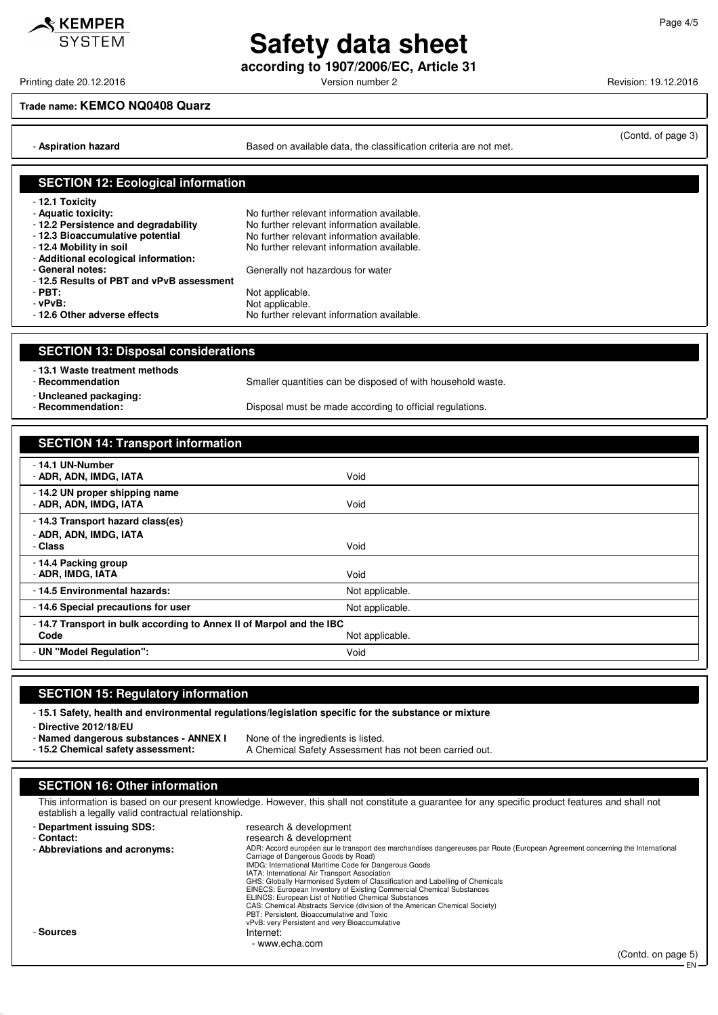**Safety data sheet according to 1907/2006/EC, Article 31**

Printing date 20.12.2016 **Principal and COVID-12** Version number 2 Revision: 19.12.2016

#### **Trade name: KEMCO NQ0408 Quarz**

KEMPER **SYSTEM** 

- **Aspiration hazard Based on available data, the classification criteria are not met.** 

(Contd. of page 3)

|                                                                                                                                                                                                                                                                                                               | <b>SECTION 12: Ecological information</b>                                                                                                                                                                                                                                                                                                                                                                                                                                                                                                                                                                                                                                        |
|---------------------------------------------------------------------------------------------------------------------------------------------------------------------------------------------------------------------------------------------------------------------------------------------------------------|----------------------------------------------------------------------------------------------------------------------------------------------------------------------------------------------------------------------------------------------------------------------------------------------------------------------------------------------------------------------------------------------------------------------------------------------------------------------------------------------------------------------------------------------------------------------------------------------------------------------------------------------------------------------------------|
| - 12.1 Toxicity<br>- Aquatic toxicity:<br>- 12.2 Persistence and degradability<br>- 12.3 Bioaccumulative potential<br>- 12.4 Mobility in soil<br>- Additional ecological information:<br>- General notes:<br>- 12.5 Results of PBT and vPvB assessment<br>$-$ PBT:<br>- vPvB:<br>- 12.6 Other adverse effects | No further relevant information available.<br>No further relevant information available.<br>No further relevant information available.<br>No further relevant information available.<br>Generally not hazardous for water<br>Not applicable.<br>Not applicable.<br>No further relevant information available.                                                                                                                                                                                                                                                                                                                                                                    |
|                                                                                                                                                                                                                                                                                                               |                                                                                                                                                                                                                                                                                                                                                                                                                                                                                                                                                                                                                                                                                  |
| <b>SECTION 13: Disposal considerations</b>                                                                                                                                                                                                                                                                    |                                                                                                                                                                                                                                                                                                                                                                                                                                                                                                                                                                                                                                                                                  |
| - 13.1 Waste treatment methods<br>- Recommendation<br>- Uncleaned packaging:                                                                                                                                                                                                                                  | Smaller quantities can be disposed of with household waste.                                                                                                                                                                                                                                                                                                                                                                                                                                                                                                                                                                                                                      |
| - Recommendation:                                                                                                                                                                                                                                                                                             | Disposal must be made according to official regulations.                                                                                                                                                                                                                                                                                                                                                                                                                                                                                                                                                                                                                         |
|                                                                                                                                                                                                                                                                                                               |                                                                                                                                                                                                                                                                                                                                                                                                                                                                                                                                                                                                                                                                                  |
| <b>SECTION 14: Transport information</b>                                                                                                                                                                                                                                                                      |                                                                                                                                                                                                                                                                                                                                                                                                                                                                                                                                                                                                                                                                                  |
| - 14.1 UN-Number<br>- ADR, ADN, IMDG, IATA                                                                                                                                                                                                                                                                    | Void                                                                                                                                                                                                                                                                                                                                                                                                                                                                                                                                                                                                                                                                             |
| - 14.2 UN proper shipping name<br>- ADR, ADN, IMDG, IATA                                                                                                                                                                                                                                                      | Void                                                                                                                                                                                                                                                                                                                                                                                                                                                                                                                                                                                                                                                                             |
| - 14.3 Transport hazard class(es)                                                                                                                                                                                                                                                                             |                                                                                                                                                                                                                                                                                                                                                                                                                                                                                                                                                                                                                                                                                  |
| - ADR, ADN, IMDG, IATA<br>- Class                                                                                                                                                                                                                                                                             | Void                                                                                                                                                                                                                                                                                                                                                                                                                                                                                                                                                                                                                                                                             |
| -14.4 Packing group<br>- ADR, IMDG, IATA                                                                                                                                                                                                                                                                      | Void                                                                                                                                                                                                                                                                                                                                                                                                                                                                                                                                                                                                                                                                             |
| - 14.5 Environmental hazards:                                                                                                                                                                                                                                                                                 | Not applicable.                                                                                                                                                                                                                                                                                                                                                                                                                                                                                                                                                                                                                                                                  |
| -14.6 Special precautions for user                                                                                                                                                                                                                                                                            | Not applicable.                                                                                                                                                                                                                                                                                                                                                                                                                                                                                                                                                                                                                                                                  |
| -14.7 Transport in bulk according to Annex II of Marpol and the IBC<br>Code<br>Not applicable.                                                                                                                                                                                                                |                                                                                                                                                                                                                                                                                                                                                                                                                                                                                                                                                                                                                                                                                  |
| UN "Model Regulation":                                                                                                                                                                                                                                                                                        | Void                                                                                                                                                                                                                                                                                                                                                                                                                                                                                                                                                                                                                                                                             |
|                                                                                                                                                                                                                                                                                                               |                                                                                                                                                                                                                                                                                                                                                                                                                                                                                                                                                                                                                                                                                  |
|                                                                                                                                                                                                                                                                                                               |                                                                                                                                                                                                                                                                                                                                                                                                                                                                                                                                                                                                                                                                                  |
| <b>SECTION 15: Regulatory information</b>                                                                                                                                                                                                                                                                     |                                                                                                                                                                                                                                                                                                                                                                                                                                                                                                                                                                                                                                                                                  |
|                                                                                                                                                                                                                                                                                                               | -15.1 Safety, health and environmental regulations/legislation specific for the substance or mixture                                                                                                                                                                                                                                                                                                                                                                                                                                                                                                                                                                             |
| - Directive 2012/18/EU                                                                                                                                                                                                                                                                                        |                                                                                                                                                                                                                                                                                                                                                                                                                                                                                                                                                                                                                                                                                  |
| - Named dangerous substances - ANNEX I<br>- 15.2 Chemical safety assessment:                                                                                                                                                                                                                                  | None of the ingredients is listed.<br>A Chemical Safety Assessment has not been carried out.                                                                                                                                                                                                                                                                                                                                                                                                                                                                                                                                                                                     |
|                                                                                                                                                                                                                                                                                                               |                                                                                                                                                                                                                                                                                                                                                                                                                                                                                                                                                                                                                                                                                  |
| <b>SECTION 16: Other information</b>                                                                                                                                                                                                                                                                          |                                                                                                                                                                                                                                                                                                                                                                                                                                                                                                                                                                                                                                                                                  |
| establish a legally valid contractual relationship.                                                                                                                                                                                                                                                           | This information is based on our present knowledge. However, this shall not constitute a guarantee for any specific product features and shall not                                                                                                                                                                                                                                                                                                                                                                                                                                                                                                                               |
| - Department issuing SDS:                                                                                                                                                                                                                                                                                     | research & development                                                                                                                                                                                                                                                                                                                                                                                                                                                                                                                                                                                                                                                           |
| - Contact:                                                                                                                                                                                                                                                                                                    | research & development                                                                                                                                                                                                                                                                                                                                                                                                                                                                                                                                                                                                                                                           |
| - Abbreviations and acronyms:                                                                                                                                                                                                                                                                                 | ADR: Accord européen sur le transport des marchandises dangereuses par Route (European Agreement concerning the International<br>Carriage of Dangerous Goods by Road)<br>IMDG: International Maritime Code for Dangerous Goods<br>IATA: International Air Transport Association<br>GHS: Globally Harmonised System of Classification and Labelling of Chemicals<br>EINECS: European Inventory of Existing Commercial Chemical Substances<br>ELINCS: European List of Notified Chemical Substances<br>CAS: Chemical Abstracts Service (division of the American Chemical Society)<br>PBT: Persistent, Bioaccumulative and Toxic<br>vPvB: very Persistent and very Bioaccumulative |

- www.echa.com

- **Sources** Internet:

(Contd. on page 5) EN